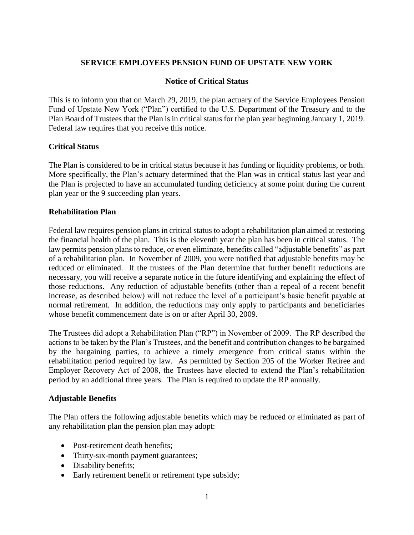# **SERVICE EMPLOYEES PENSION FUND OF UPSTATE NEW YORK**

### **Notice of Critical Status**

This is to inform you that on March 29, 2019, the plan actuary of the Service Employees Pension Fund of Upstate New York ("Plan") certified to the U.S. Department of the Treasury and to the Plan Board of Trustees that the Plan is in critical status for the plan year beginning January 1, 2019. Federal law requires that you receive this notice.

### **Critical Status**

The Plan is considered to be in critical status because it has funding or liquidity problems, or both. More specifically, the Plan's actuary determined that the Plan was in critical status last year and the Plan is projected to have an accumulated funding deficiency at some point during the current plan year or the 9 succeeding plan years.

# **Rehabilitation Plan**

Federal law requires pension plans in critical status to adopt a rehabilitation plan aimed at restoring the financial health of the plan. This is the eleventh year the plan has been in critical status. The law permits pension plans to reduce, or even eliminate, benefits called "adjustable benefits" as part of a rehabilitation plan. In November of 2009, you were notified that adjustable benefits may be reduced or eliminated. If the trustees of the Plan determine that further benefit reductions are necessary, you will receive a separate notice in the future identifying and explaining the effect of those reductions. Any reduction of adjustable benefits (other than a repeal of a recent benefit increase, as described below) will not reduce the level of a participant's basic benefit payable at normal retirement. In addition, the reductions may only apply to participants and beneficiaries whose benefit commencement date is on or after April 30, 2009.

The Trustees did adopt a Rehabilitation Plan ("RP") in November of 2009. The RP described the actions to be taken by the Plan's Trustees, and the benefit and contribution changes to be bargained by the bargaining parties, to achieve a timely emergence from critical status within the rehabilitation period required by law. As permitted by Section 205 of the Worker Retiree and Employer Recovery Act of 2008, the Trustees have elected to extend the Plan's rehabilitation period by an additional three years. The Plan is required to update the RP annually.

### **Adjustable Benefits**

The Plan offers the following adjustable benefits which may be reduced or eliminated as part of any rehabilitation plan the pension plan may adopt:

- Post-retirement death benefits;
- Thirty-six-month payment guarantees;
- Disability benefits;
- Early retirement benefit or retirement type subsidy;